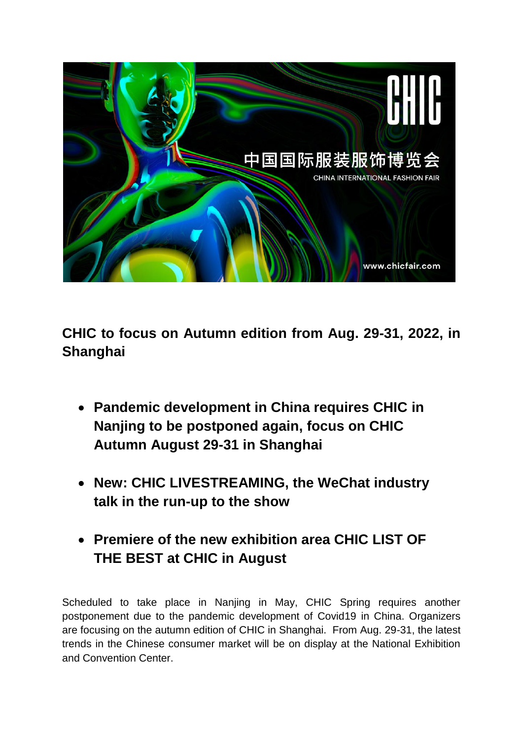

**CHIC to focus on Autumn edition from Aug. 29-31, 2022, in Shanghai**

- **Pandemic development in China requires CHIC in Nanjing to be postponed again, focus on CHIC Autumn August 29-31 in Shanghai**
- **New: CHIC LIVESTREAMING, the WeChat industry talk in the run-up to the show**
- **Premiere of the new exhibition area CHIC LIST OF THE BEST at CHIC in August**

Scheduled to take place in Nanjing in May, CHIC Spring requires another postponement due to the pandemic development of Covid19 in China. Organizers are focusing on the autumn edition of CHIC in Shanghai. From Aug. 29-31, the latest trends in the Chinese consumer market will be on display at the National Exhibition and Convention Center.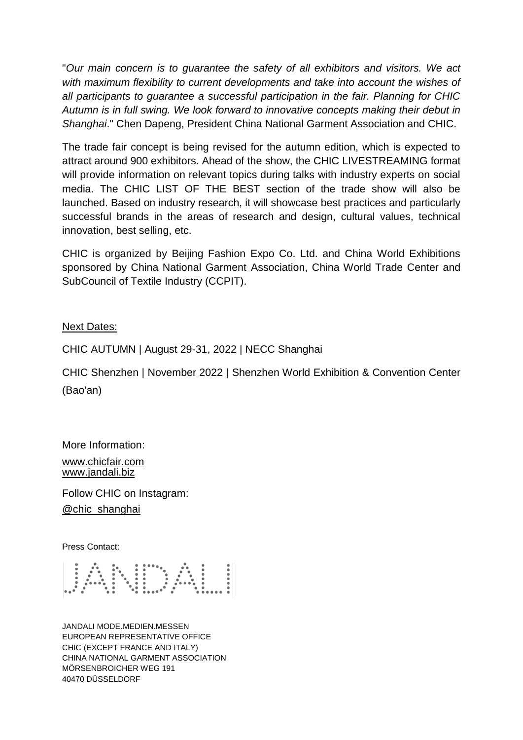"*Our main concern is to guarantee the safety of all exhibitors and visitors. We act with maximum flexibility to current developments and take into account the wishes of all participants to guarantee a successful participation in the fair. Planning for CHIC Autumn is in full swing. We look forward to innovative concepts making their debut in Shanghai*." Chen Dapeng, President China National Garment Association and CHIC.

The trade fair concept is being revised for the autumn edition, which is expected to attract around 900 exhibitors. Ahead of the show, the CHIC LIVESTREAMING format will provide information on relevant topics during talks with industry experts on social media. The CHIC LIST OF THE BEST section of the trade show will also be launched. Based on industry research, it will showcase best practices and particularly successful brands in the areas of research and design, cultural values, technical innovation, best selling, etc.

CHIC is organized by Beijing Fashion Expo Co. Ltd. and China World Exhibitions sponsored by China National Garment Association, China World Trade Center and SubCouncil of Textile Industry (CCPIT).

## Next Dates:

CHIC AUTUMN | August 29-31, 2022 | NECC Shanghai

CHIC Shenzhen | November 2022 | Shenzhen World Exhibition & Convention Center (Bao'an)

More Information: [www.chicfair.com](http://www.chicfair.com/) [www.jandali.biz](http://www.jandali.biz/)

Follow CHIC on Instagram: [@chic\\_shanghai](http://www.instagram.com/chic_shanghai/)

Press Contact:



JANDALI MODE.MEDIEN.MESSEN EUROPEAN REPRESENTATIVE OFFICE CHIC (EXCEPT FRANCE AND ITALY) CHINA NATIONAL GARMENT ASSOCIATION MÖRSENBROICHER WEG 191 40470 DÜSSELDORF